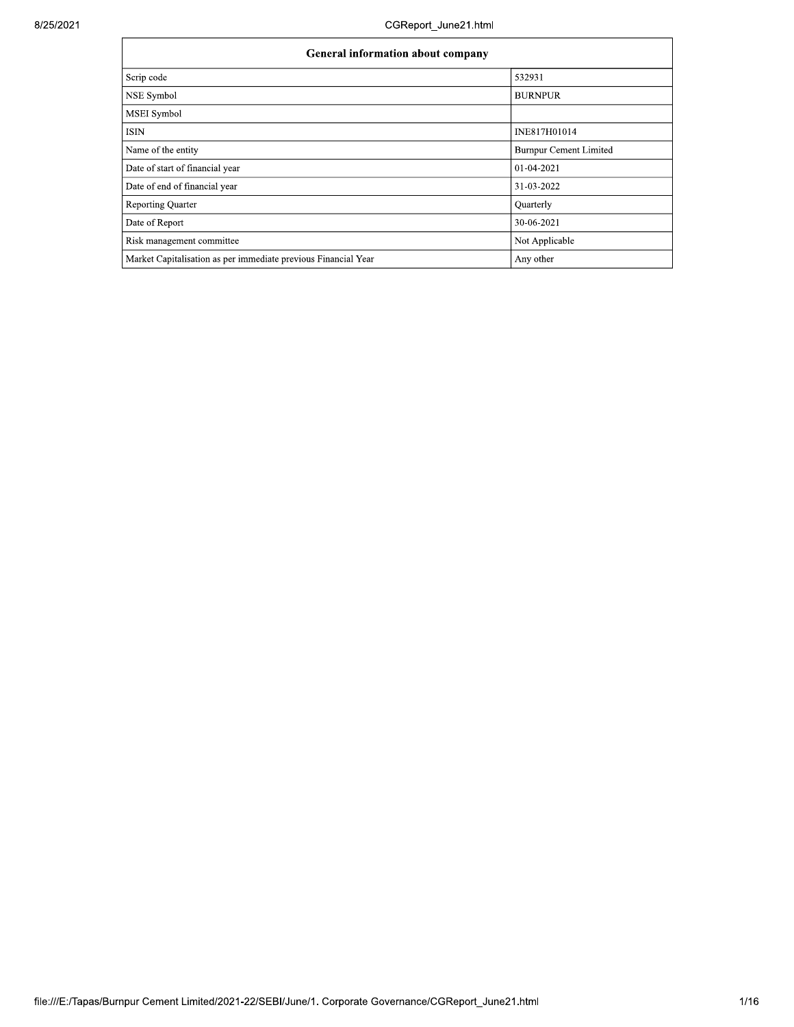| <b>General information about company</b>                       |                               |  |  |  |  |  |
|----------------------------------------------------------------|-------------------------------|--|--|--|--|--|
| Scrip code                                                     | 532931                        |  |  |  |  |  |
| NSE Symbol                                                     | <b>BURNPUR</b>                |  |  |  |  |  |
| <b>MSEI</b> Symbol                                             |                               |  |  |  |  |  |
| ISIN                                                           | INE817H01014                  |  |  |  |  |  |
| Name of the entity                                             | <b>Burnpur Cement Limited</b> |  |  |  |  |  |
| Date of start of financial year                                | 01-04-2021                    |  |  |  |  |  |
| Date of end of financial year                                  | 31-03-2022                    |  |  |  |  |  |
| <b>Reporting Quarter</b>                                       | Quarterly                     |  |  |  |  |  |
| Date of Report                                                 | 30-06-2021                    |  |  |  |  |  |
| Risk management committee                                      | Not Applicable                |  |  |  |  |  |
| Market Capitalisation as per immediate previous Financial Year | Any other                     |  |  |  |  |  |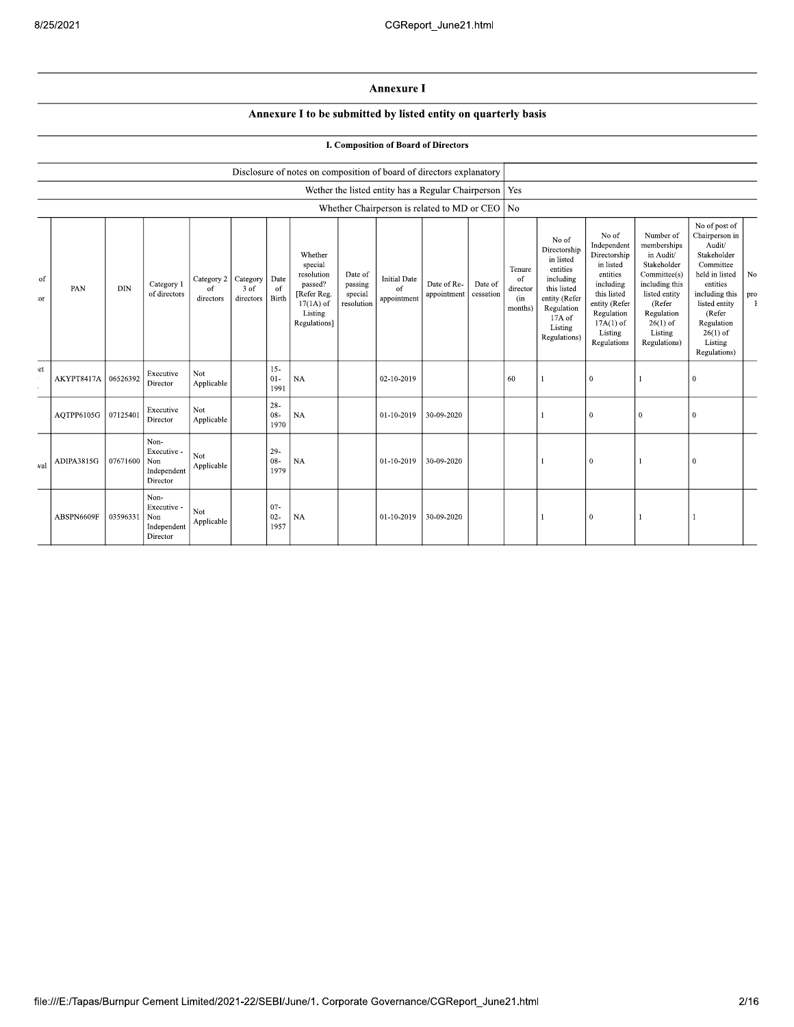## Annexure I

## Annexure I to be submitted by listed entity on quarterly basis

|  |  |  | I. Composition of Board of Directors |
|--|--|--|--------------------------------------|
|  |  |  |                                      |

|           |            |            |                                                       |                               |                               |                          | Disclosure of notes on composition of board of directors explanatory                                 |                                             |                                                          |                            |                      |                                            |                                                                                                                                                |                                                                                                                                                                   |                                                                                                                                                                          |                                                                                                                                                                                                         |           |
|-----------|------------|------------|-------------------------------------------------------|-------------------------------|-------------------------------|--------------------------|------------------------------------------------------------------------------------------------------|---------------------------------------------|----------------------------------------------------------|----------------------------|----------------------|--------------------------------------------|------------------------------------------------------------------------------------------------------------------------------------------------|-------------------------------------------------------------------------------------------------------------------------------------------------------------------|--------------------------------------------------------------------------------------------------------------------------------------------------------------------------|---------------------------------------------------------------------------------------------------------------------------------------------------------------------------------------------------------|-----------|
|           |            |            |                                                       |                               |                               |                          |                                                                                                      |                                             | Wether the listed entity has a Regular Chairperson   Yes |                            |                      |                                            |                                                                                                                                                |                                                                                                                                                                   |                                                                                                                                                                          |                                                                                                                                                                                                         |           |
|           |            |            |                                                       |                               |                               |                          |                                                                                                      |                                             | Whether Chairperson is related to MD or CEO   No         |                            |                      |                                            |                                                                                                                                                |                                                                                                                                                                   |                                                                                                                                                                          |                                                                                                                                                                                                         |           |
| of<br>:or | PAN        | <b>DIN</b> | Category 1<br>of directors                            | Category 2<br>of<br>directors | Category<br>3 of<br>directors | Date<br>of<br>Birth      | Whether<br>special<br>resolution<br>passed?<br>[Refer Reg.<br>$17(1A)$ of<br>Listing<br>Regulations] | Date of<br>passing<br>special<br>resolution | <b>Initial Date</b><br>of<br>appointment                 | Date of Re-<br>appointment | Date of<br>cessation | Tenure<br>of<br>director<br>(in<br>months) | No of<br>Directorship<br>in listed<br>entities<br>including<br>this listed<br>entity (Refer<br>Regulation<br>17A of<br>Listing<br>Regulations) | No of<br>Independent<br>Directorship<br>in listed<br>entities<br>including<br>this listed<br>entity (Refer<br>Regulation<br>$17A(1)$ of<br>Listing<br>Regulations | Number of<br>memberships<br>in Audit/<br>Stakeholder<br>Committee(s)<br>including this<br>listed entity<br>(Refer<br>Regulation<br>$26(1)$ of<br>Listing<br>Regulations) | No of post of<br>Chairperson in<br>Audit/<br>Stakeholder<br>Committee<br>held in listed<br>entities<br>including this<br>listed entity<br>(Refer<br>Regulation<br>$26(1)$ of<br>Listing<br>Regulations) | No<br>pro |
| et        | AKYPT8417A | 06526392   | Executive<br>Director                                 | Not<br>Applicable             |                               | $15 -$<br>$01 -$<br>1991 | <b>NA</b>                                                                                            |                                             | 02-10-2019                                               |                            |                      | 60                                         |                                                                                                                                                | $\mathbf{0}$                                                                                                                                                      |                                                                                                                                                                          | $\overline{0}$                                                                                                                                                                                          |           |
|           | AQTPP6105G | 07125401   | Executive<br>Director                                 | Not<br>Applicable             |                               | $28 -$<br>08-<br>1970    | <b>NA</b>                                                                                            |                                             | 01-10-2019                                               | 30-09-2020                 |                      |                                            |                                                                                                                                                | $\mathbf{0}$                                                                                                                                                      | $\mathbf{0}$                                                                                                                                                             | $\mathbf{0}$                                                                                                                                                                                            |           |
| val       | ADIPA3815G | 07671600   | Non-<br>Executive -<br>Non<br>Independent<br>Director | Not<br>Applicable             |                               | $29-$<br>$08 -$<br>1979  | <b>NA</b>                                                                                            |                                             | 01-10-2019                                               | 30-09-2020                 |                      |                                            |                                                                                                                                                | $\mathbf{0}$                                                                                                                                                      |                                                                                                                                                                          | $\mathbf{0}$                                                                                                                                                                                            |           |
|           | ABSPN6609F | 03596331   | Non-<br>Executive -<br>Non<br>Independent<br>Director | Not<br>Applicable             |                               | $07 -$<br>$02 -$<br>1957 | NA                                                                                                   |                                             | 01-10-2019                                               | 30-09-2020                 |                      |                                            |                                                                                                                                                | 0                                                                                                                                                                 |                                                                                                                                                                          |                                                                                                                                                                                                         |           |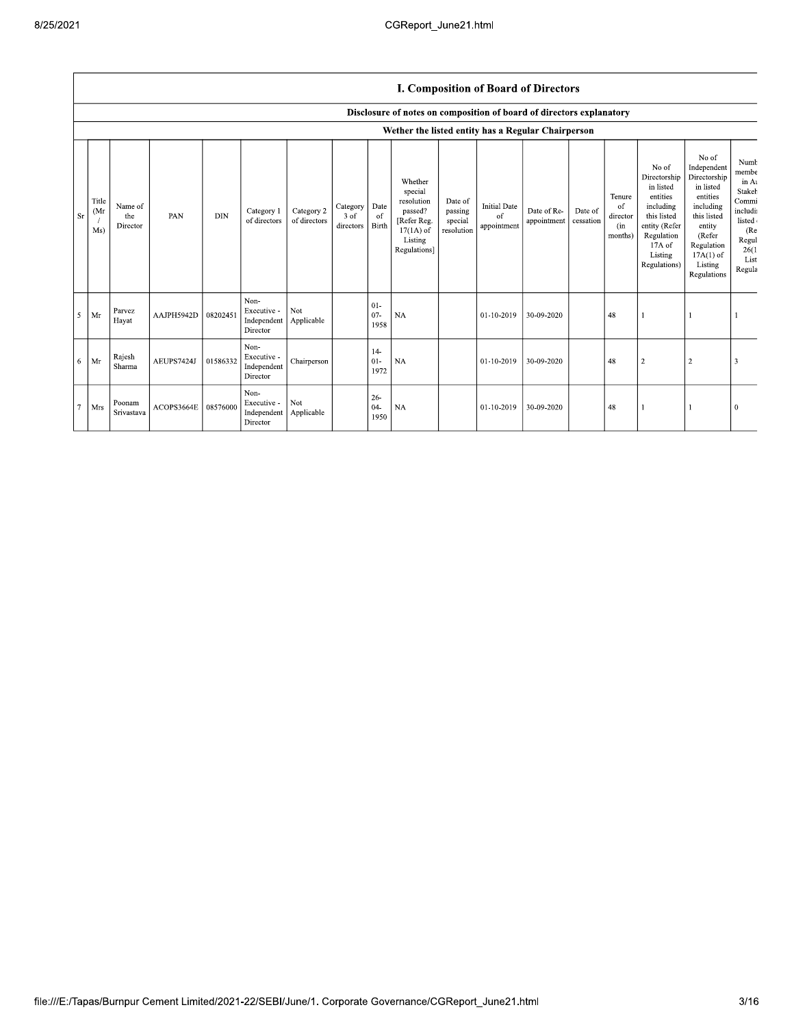## I. Composition of Board of Directors

|             |                     |                            |            |            |                                                |                            |                               |                          | Disclosure of notes on composition of board of directors explanatory                                 |                                             |                                          |                            |                      |                                            |                                                                                                                                                |                                                                                                                                                                      |                                                                                                           |
|-------------|---------------------|----------------------------|------------|------------|------------------------------------------------|----------------------------|-------------------------------|--------------------------|------------------------------------------------------------------------------------------------------|---------------------------------------------|------------------------------------------|----------------------------|----------------------|--------------------------------------------|------------------------------------------------------------------------------------------------------------------------------------------------|----------------------------------------------------------------------------------------------------------------------------------------------------------------------|-----------------------------------------------------------------------------------------------------------|
|             |                     |                            |            |            |                                                |                            |                               |                          | Wether the listed entity has a Regular Chairperson                                                   |                                             |                                          |                            |                      |                                            |                                                                                                                                                |                                                                                                                                                                      |                                                                                                           |
| $_{\rm Sr}$ | Title<br>(Mr<br>Ms) | Name of<br>the<br>Director | PAN        | <b>DIN</b> | Category 1<br>of directors                     | Category 2<br>of directors | Category<br>3 of<br>directors | Date<br>-of<br>Birth     | Whether<br>special<br>resolution<br>passed?<br>[Refer Reg.<br>$17(1A)$ of<br>Listing<br>Regulations] | Date of<br>passing<br>special<br>resolution | <b>Initial Date</b><br>of<br>appointment | Date of Re-<br>appointment | Date of<br>cessation | Tenure<br>of<br>director<br>(in<br>months) | No of<br>Directorship<br>in listed<br>entities<br>including<br>this listed<br>entity (Refer<br>Regulation<br>17A of<br>Listing<br>Regulations) | No of<br>Independent<br>Directorship<br>in listed<br>entities<br>including<br>this listed<br>entity<br>(Refer<br>Regulation<br>$17A(1)$ of<br>Listing<br>Regulations | Numb<br>membe<br>in At<br>Stakeh<br>Commi<br>includi<br>listed<br>(Re<br>Regul<br>26(1)<br>List<br>Regula |
| 5           | Mr                  | Parvez<br>Hayat            | AAJPH5942D | 08202451   | Non-<br>Executive -<br>Independent<br>Director | Not<br>Applicable          |                               | $01 -$<br>$07 -$<br>1958 | <b>NA</b>                                                                                            |                                             | 01-10-2019                               | 30-09-2020                 |                      | 48                                         |                                                                                                                                                |                                                                                                                                                                      |                                                                                                           |
| 6           | Mr                  | Rajesh<br>Sharma           | AEUPS7424J | 01586332   | Non-<br>Executive -<br>Independent<br>Director | Chairperson                |                               | $14-$<br>$01 -$<br>1972  | NA                                                                                                   |                                             | 01-10-2019                               | 30-09-2020                 |                      | 48                                         | $\overline{2}$                                                                                                                                 | $\overline{\mathbf{c}}$                                                                                                                                              |                                                                                                           |
| $\tau$      | Mrs                 | Poonam<br>Srivastava       | ACOPS3664E | 08576000   | Non-<br>Executive -<br>Independent<br>Director | Not<br>Applicable          |                               | $26 -$<br>$04 -$<br>1950 | <b>NA</b>                                                                                            |                                             | 01-10-2019                               | 30-09-2020                 |                      | 48                                         |                                                                                                                                                |                                                                                                                                                                      |                                                                                                           |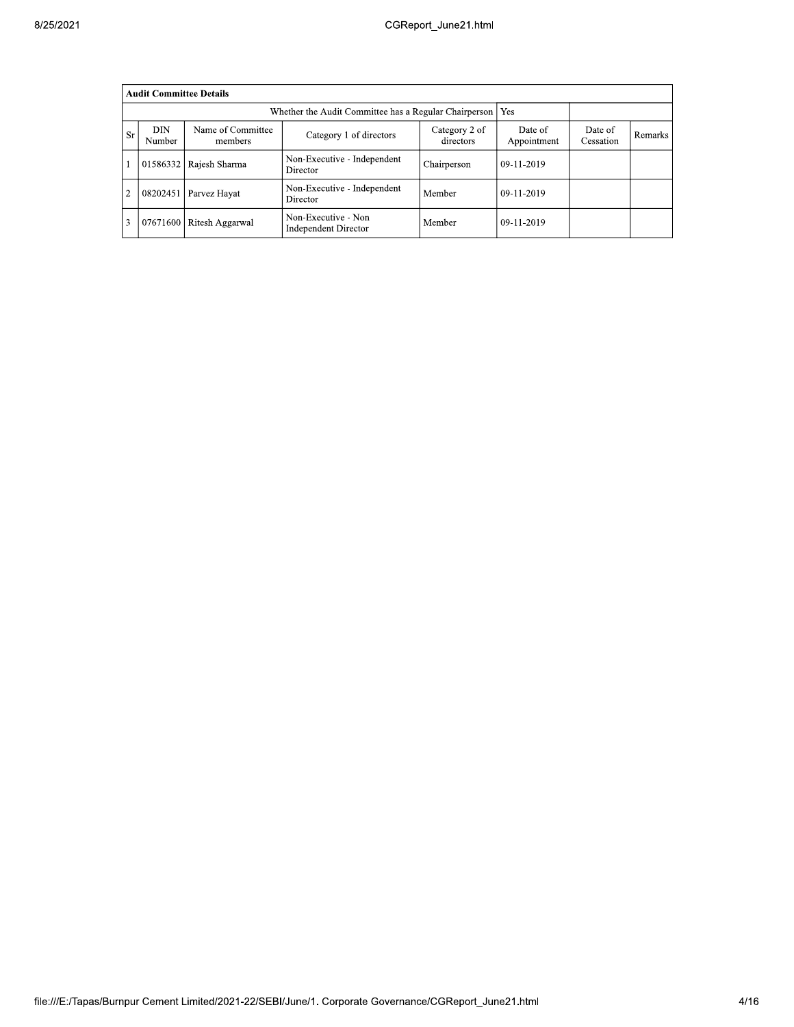|                                                                                                                                                                       |                                                                | <b>Audit Committee Details</b> |                                             |             |              |  |         |  |  |  |  |  |
|-----------------------------------------------------------------------------------------------------------------------------------------------------------------------|----------------------------------------------------------------|--------------------------------|---------------------------------------------|-------------|--------------|--|---------|--|--|--|--|--|
|                                                                                                                                                                       | Whether the Audit Committee has a Regular Chairperson  <br>Yes |                                |                                             |             |              |  |         |  |  |  |  |  |
| DIN<br>Name of Committee<br>Category 2 of<br>Date of<br>Date of<br><b>Sr</b><br>Category 1 of directors<br>directors<br>Appointment<br>Cessation<br>Number<br>members |                                                                |                                |                                             |             |              |  | Remarks |  |  |  |  |  |
|                                                                                                                                                                       | 01586332                                                       | Rajesh Sharma                  | Non-Executive - Independent<br>Director     | Chairperson | $09-11-2019$ |  |         |  |  |  |  |  |
| $\overline{2}$                                                                                                                                                        | 08202451                                                       | Parvez Hayat                   | Non-Executive - Independent<br>Director     | Member      | $09-11-2019$ |  |         |  |  |  |  |  |
| 3                                                                                                                                                                     | 07671600                                                       | Ritesh Aggarwal                | Non-Executive - Non<br>Independent Director | Member      | $09-11-2019$ |  |         |  |  |  |  |  |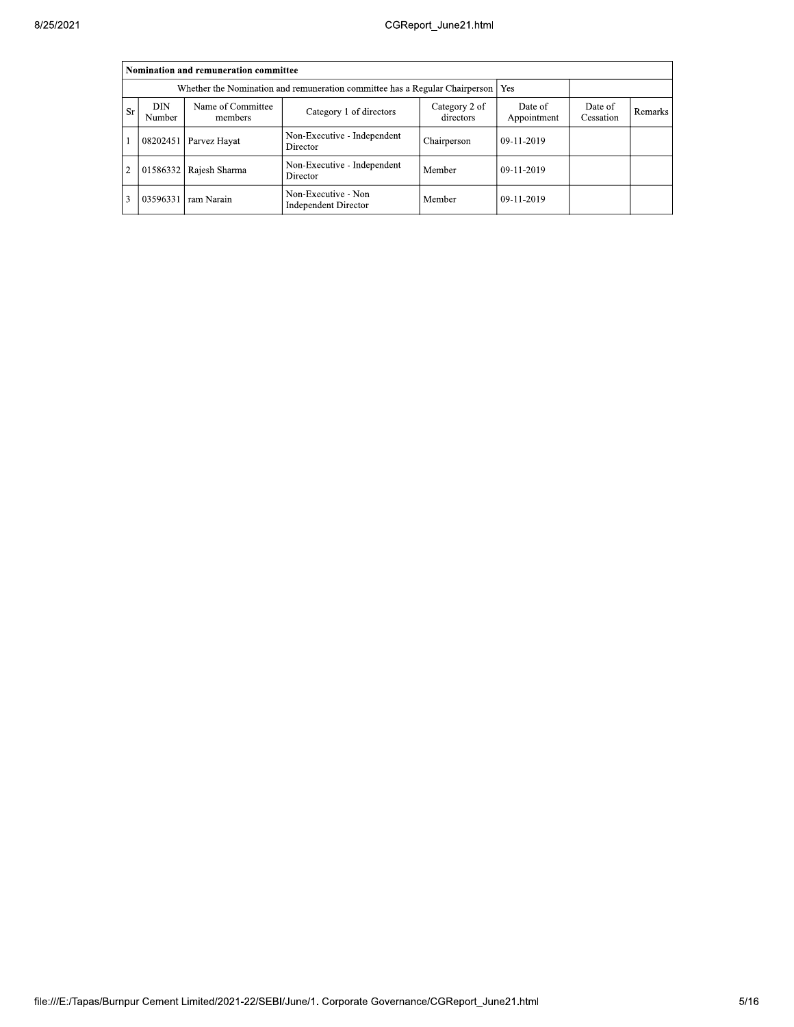|                | Nomination and remuneration committee                                                                                                                               |               |                                                    |             |            |  |  |  |  |  |  |  |
|----------------|---------------------------------------------------------------------------------------------------------------------------------------------------------------------|---------------|----------------------------------------------------|-------------|------------|--|--|--|--|--|--|--|
|                | Whether the Nomination and remuneration committee has a Regular Chairperson   Yes                                                                                   |               |                                                    |             |            |  |  |  |  |  |  |  |
| <b>Sr</b>      | Name of Committee<br>DIN<br>Category 2 of<br>Date of<br>Date of<br>Category 1 of directors<br>Remarks<br>directors<br>Appointment<br>Cessation<br>Number<br>members |               |                                                    |             |            |  |  |  |  |  |  |  |
|                | 08202451                                                                                                                                                            | Parvez Hayat  | Non-Executive - Independent<br>Director            | Chairperson | 09-11-2019 |  |  |  |  |  |  |  |
| $\overline{2}$ | 01586332                                                                                                                                                            | Rajesh Sharma | Non-Executive - Independent<br>Director            | Member      | 09-11-2019 |  |  |  |  |  |  |  |
| 3              | 03596331                                                                                                                                                            | ram Narain    | Non-Executive - Non<br><b>Independent Director</b> | Member      | 09-11-2019 |  |  |  |  |  |  |  |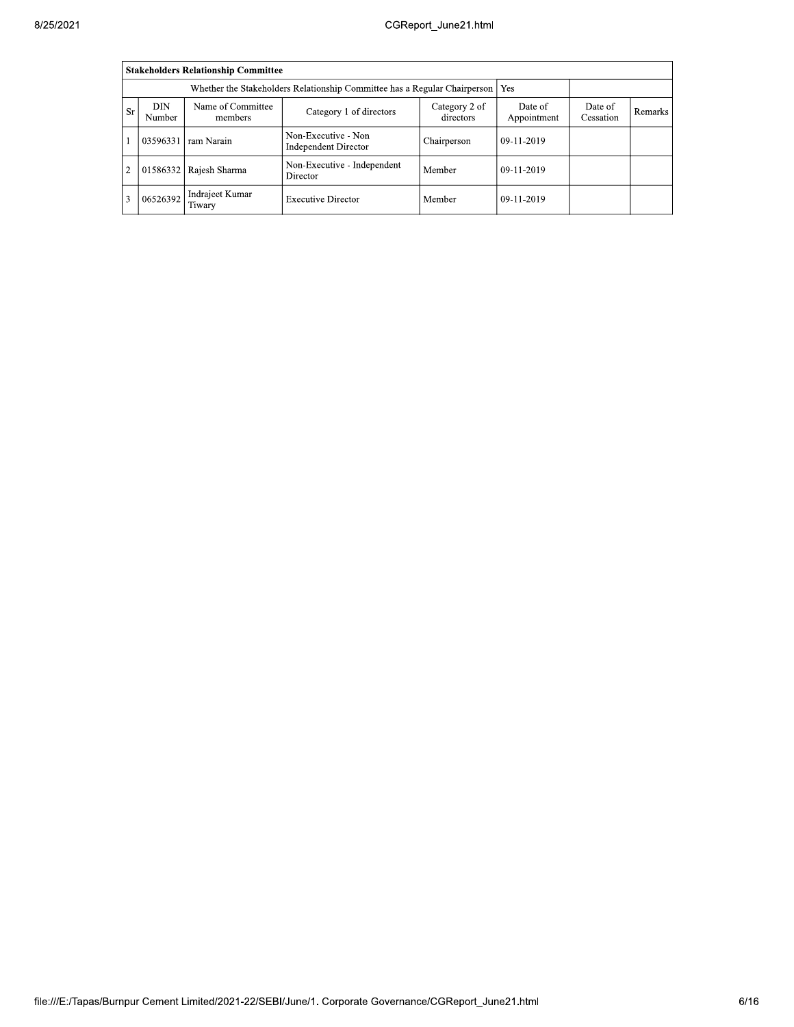|                |                                                                                                                                                                     | <b>Stakeholders Relationship Committee</b> |                                             |             |            |  |  |  |  |  |  |
|----------------|---------------------------------------------------------------------------------------------------------------------------------------------------------------------|--------------------------------------------|---------------------------------------------|-------------|------------|--|--|--|--|--|--|
|                | Whether the Stakeholders Relationship Committee has a Regular Chairperson<br>Yes                                                                                    |                                            |                                             |             |            |  |  |  |  |  |  |
| <b>Sr</b>      | Name of Committee<br>DIN<br>Category 2 of<br>Date of<br>Date of<br>Category 1 of directors<br>Remarks<br>directors<br>Appointment<br>Cessation<br>Number<br>members |                                            |                                             |             |            |  |  |  |  |  |  |
|                | 03596331                                                                                                                                                            | ram Narain                                 | Non-Executive - Non<br>Independent Director | Chairperson | 09-11-2019 |  |  |  |  |  |  |
| $\overline{c}$ | 01586332                                                                                                                                                            | Rajesh Sharma                              | Non-Executive - Independent<br>Director     | Member      | 09-11-2019 |  |  |  |  |  |  |
| 3              | 06526392                                                                                                                                                            | Indrajeet Kumar<br>Tiwary                  | <b>Executive Director</b>                   | Member      | 09-11-2019 |  |  |  |  |  |  |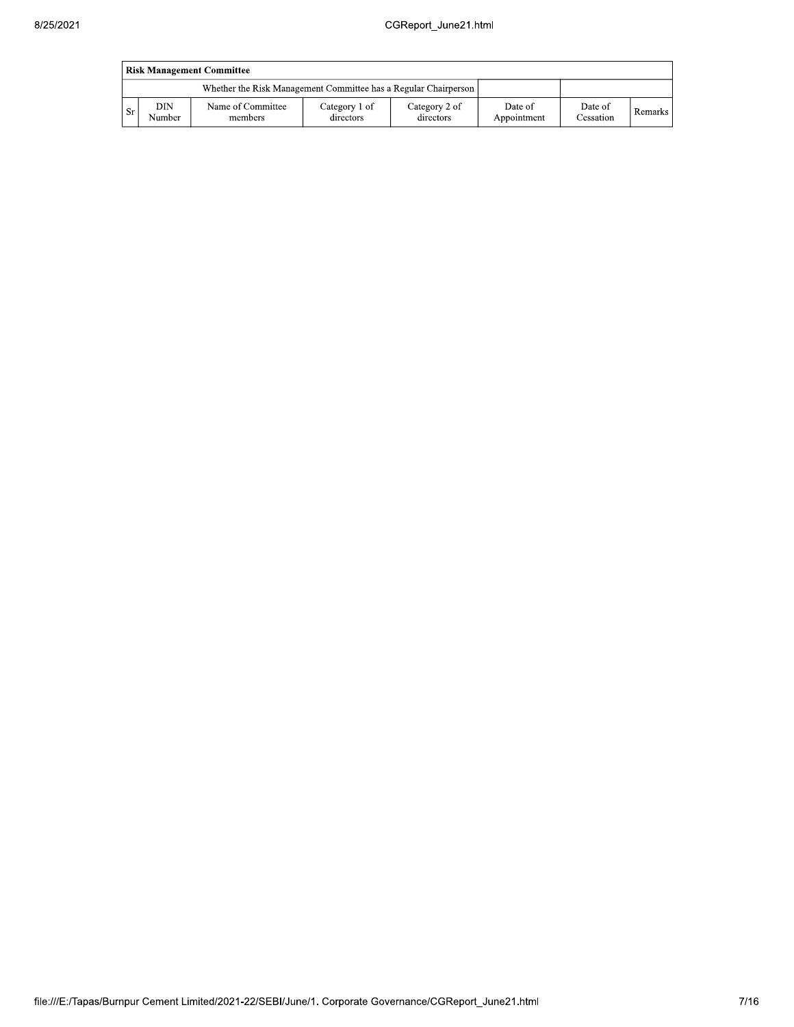|           | <b>Risk Management Committee</b> |                                                                 |                            |                            |                        |                      |         |  |  |  |  |  |
|-----------|----------------------------------|-----------------------------------------------------------------|----------------------------|----------------------------|------------------------|----------------------|---------|--|--|--|--|--|
|           |                                  | Whether the Risk Management Committee has a Regular Chairperson |                            |                            |                        |                      |         |  |  |  |  |  |
| <b>Sr</b> | DIN<br>Number                    | Name of Committee<br>members                                    | Category 1 of<br>directors | Category 2 of<br>directors | Date of<br>Appointment | Date of<br>Cessation | Remarks |  |  |  |  |  |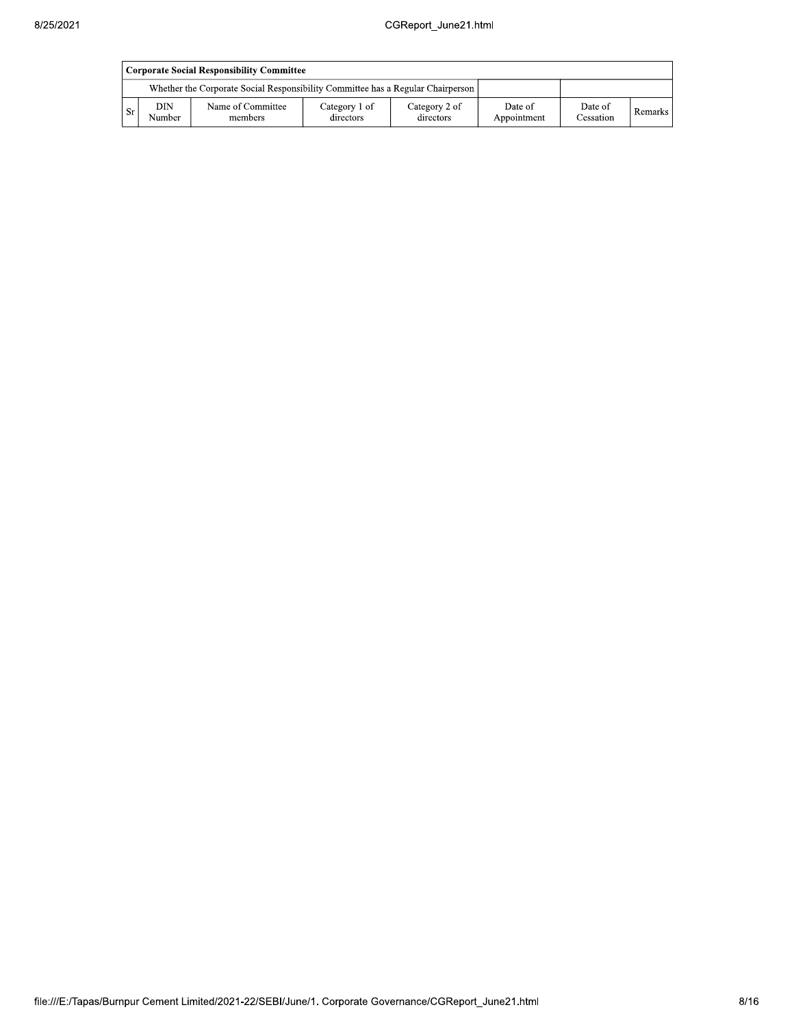|      | Corporate Social Responsibility Committee |                                                                                 |                            |                            |                        |                      |           |  |  |  |  |  |
|------|-------------------------------------------|---------------------------------------------------------------------------------|----------------------------|----------------------------|------------------------|----------------------|-----------|--|--|--|--|--|
|      |                                           | Whether the Corporate Social Responsibility Committee has a Regular Chairperson |                            |                            |                        |                      |           |  |  |  |  |  |
| - Sr | DIN<br>Number                             | Name of Committee<br>members                                                    | Category 1 of<br>directors | Category 2 of<br>directors | Date of<br>Appointment | Date of<br>Cessation | Remarks I |  |  |  |  |  |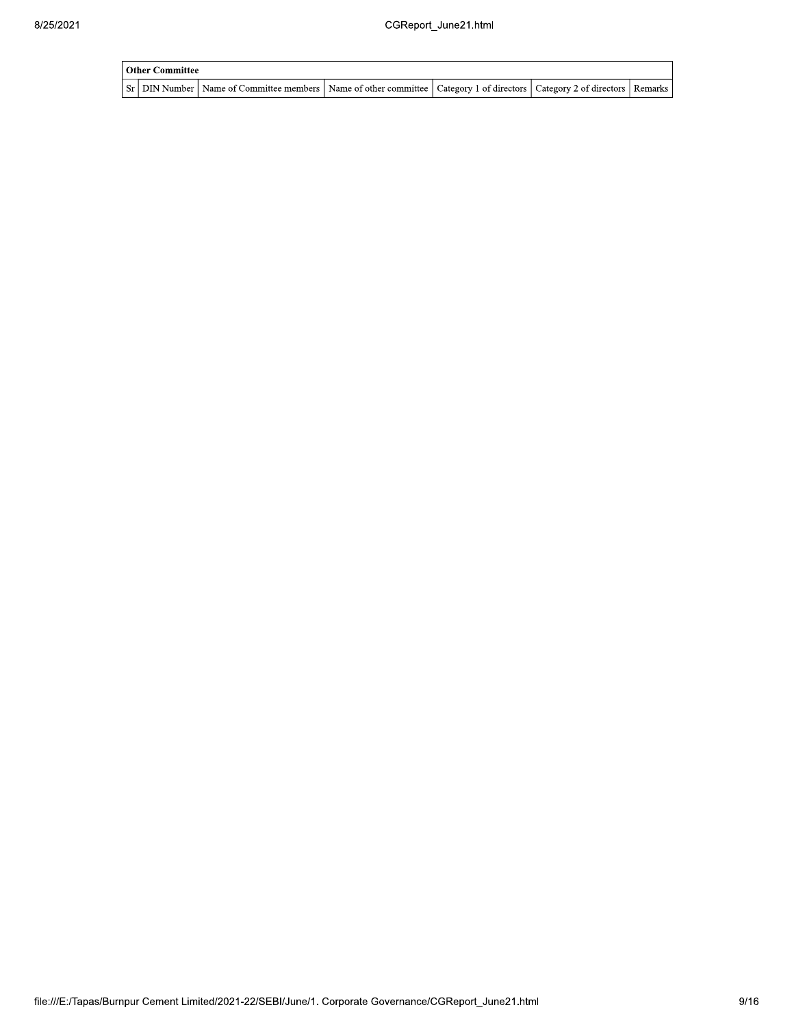| Other Committee |                                                                                                                                     |  |  |
|-----------------|-------------------------------------------------------------------------------------------------------------------------------------|--|--|
|                 | Sr   DIN Number   Name of Committee members   Name of other committee   Category 1 of directors   Category 2 of directors   Remarks |  |  |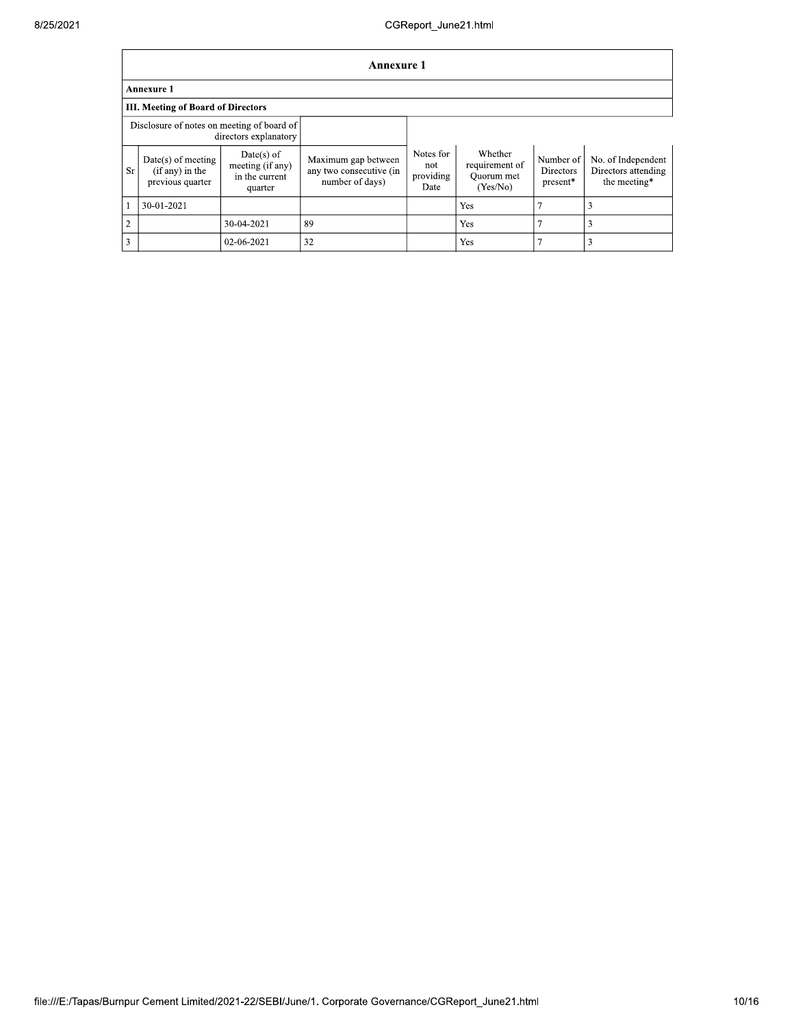|                | <b>Annexure 1</b>                                                   |                                                               |                                                                   |                                       |                                                     |                                    |                                                           |  |  |  |  |
|----------------|---------------------------------------------------------------------|---------------------------------------------------------------|-------------------------------------------------------------------|---------------------------------------|-----------------------------------------------------|------------------------------------|-----------------------------------------------------------|--|--|--|--|
|                | <b>Annexure 1</b>                                                   |                                                               |                                                                   |                                       |                                                     |                                    |                                                           |  |  |  |  |
|                | <b>III. Meeting of Board of Directors</b>                           |                                                               |                                                                   |                                       |                                                     |                                    |                                                           |  |  |  |  |
|                | Disclosure of notes on meeting of board of<br>directors explanatory |                                                               |                                                                   |                                       |                                                     |                                    |                                                           |  |  |  |  |
| Sr.            | $Date(s)$ of meeting<br>$(if any)$ in the<br>previous quarter       | $Date(s)$ of<br>meeting (if any)<br>in the current<br>quarter | Maximum gap between<br>any two consecutive (in<br>number of days) | Notes for<br>not<br>providing<br>Date | Whether<br>requirement of<br>Ouorum met<br>(Yes/No) | Number of<br>Directors<br>present* | No. of Independent<br>Directors attending<br>the meeting* |  |  |  |  |
|                | 30-01-2021                                                          |                                                               |                                                                   |                                       | Yes                                                 |                                    |                                                           |  |  |  |  |
| $\overline{2}$ |                                                                     | 30-04-2021                                                    | 89                                                                |                                       | Yes                                                 |                                    |                                                           |  |  |  |  |
| 3              |                                                                     | 02-06-2021                                                    | 32                                                                |                                       | Yes                                                 |                                    |                                                           |  |  |  |  |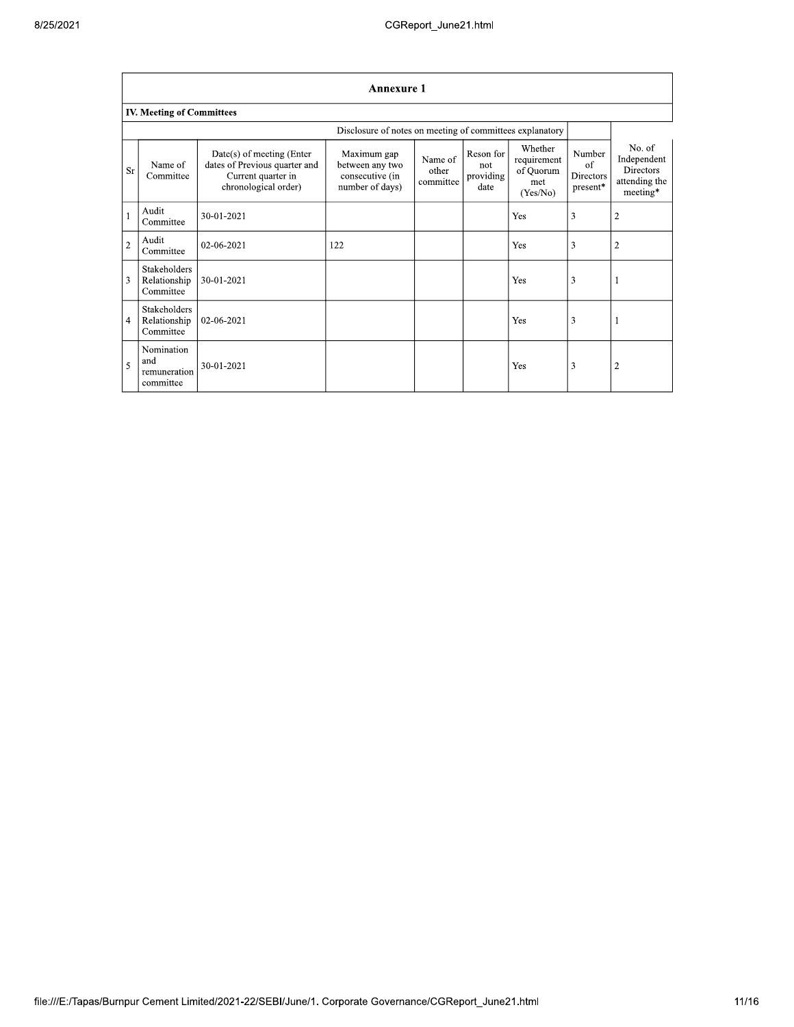|                | <b>Annexure 1</b>                                |                                                                                                            |                                                                      |                               |                                       |                                                        |                                                   |                                                                        |  |  |  |
|----------------|--------------------------------------------------|------------------------------------------------------------------------------------------------------------|----------------------------------------------------------------------|-------------------------------|---------------------------------------|--------------------------------------------------------|---------------------------------------------------|------------------------------------------------------------------------|--|--|--|
|                | <b>IV. Meeting of Committees</b>                 |                                                                                                            |                                                                      |                               |                                       |                                                        |                                                   |                                                                        |  |  |  |
|                |                                                  |                                                                                                            |                                                                      |                               |                                       |                                                        |                                                   |                                                                        |  |  |  |
| <b>Sr</b>      | Name of<br>Committee                             | $Date(s)$ of meeting (Enter<br>dates of Previous quarter and<br>Current quarter in<br>chronological order) | Maximum gap<br>between any two<br>consecutive (in<br>number of days) | Name of<br>other<br>committee | Reson for<br>not<br>providing<br>date | Whether<br>requirement<br>of Quorum<br>met<br>(Yes/No) | Number<br>of<br>Directors<br>$\mathtt{present}^*$ | No. of<br>Independent<br><b>Directors</b><br>attending the<br>meeting* |  |  |  |
| $\mathbf{1}$   | Audit<br>Committee                               | 30-01-2021                                                                                                 |                                                                      |                               |                                       | Yes                                                    | 3                                                 | $\overline{2}$                                                         |  |  |  |
| $\overline{2}$ | Audit<br>Committee                               | 02-06-2021                                                                                                 | 122                                                                  |                               |                                       | Yes                                                    | 3                                                 | $\overline{2}$                                                         |  |  |  |
| 3              | Stakeholders<br>Relationship<br>Committee        | 30-01-2021                                                                                                 |                                                                      |                               |                                       | Yes                                                    | 3                                                 |                                                                        |  |  |  |
| $\overline{4}$ | <b>Stakeholders</b><br>Relationship<br>Committee | 02-06-2021                                                                                                 |                                                                      |                               |                                       | Yes                                                    | 3                                                 |                                                                        |  |  |  |
| 5              | Nomination<br>and<br>remuneration<br>committee   | 30-01-2021                                                                                                 |                                                                      |                               |                                       | Yes                                                    | 3                                                 | 2                                                                      |  |  |  |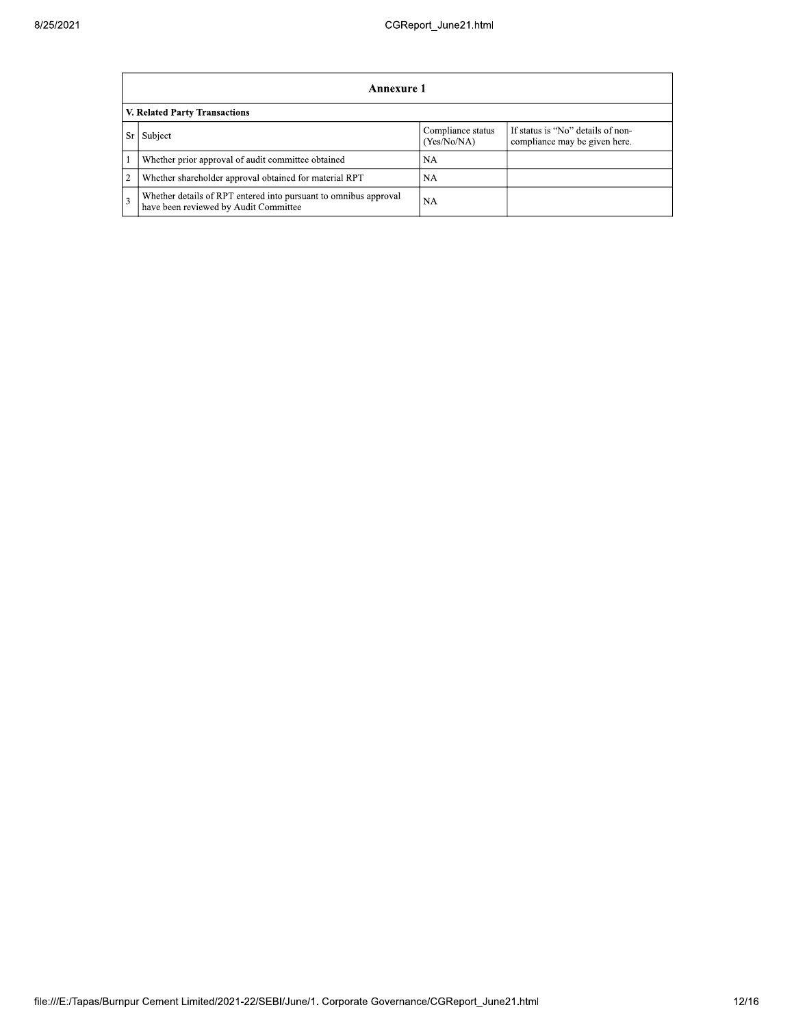|                               | <b>Annexure 1</b>                                                                                         |                                  |                                                                    |  |  |  |
|-------------------------------|-----------------------------------------------------------------------------------------------------------|----------------------------------|--------------------------------------------------------------------|--|--|--|
| V. Related Party Transactions |                                                                                                           |                                  |                                                                    |  |  |  |
| Sr                            | Subject                                                                                                   | Compliance status<br>(Yes/No/NA) | If status is "No" details of non-<br>compliance may be given here. |  |  |  |
|                               | Whether prior approval of audit committee obtained                                                        | NA                               |                                                                    |  |  |  |
| $\overline{2}$                | Whether shareholder approval obtained for material RPT                                                    | NA                               |                                                                    |  |  |  |
| 3                             | Whether details of RPT entered into pursuant to omnibus approval<br>have been reviewed by Audit Committee | <b>NA</b>                        |                                                                    |  |  |  |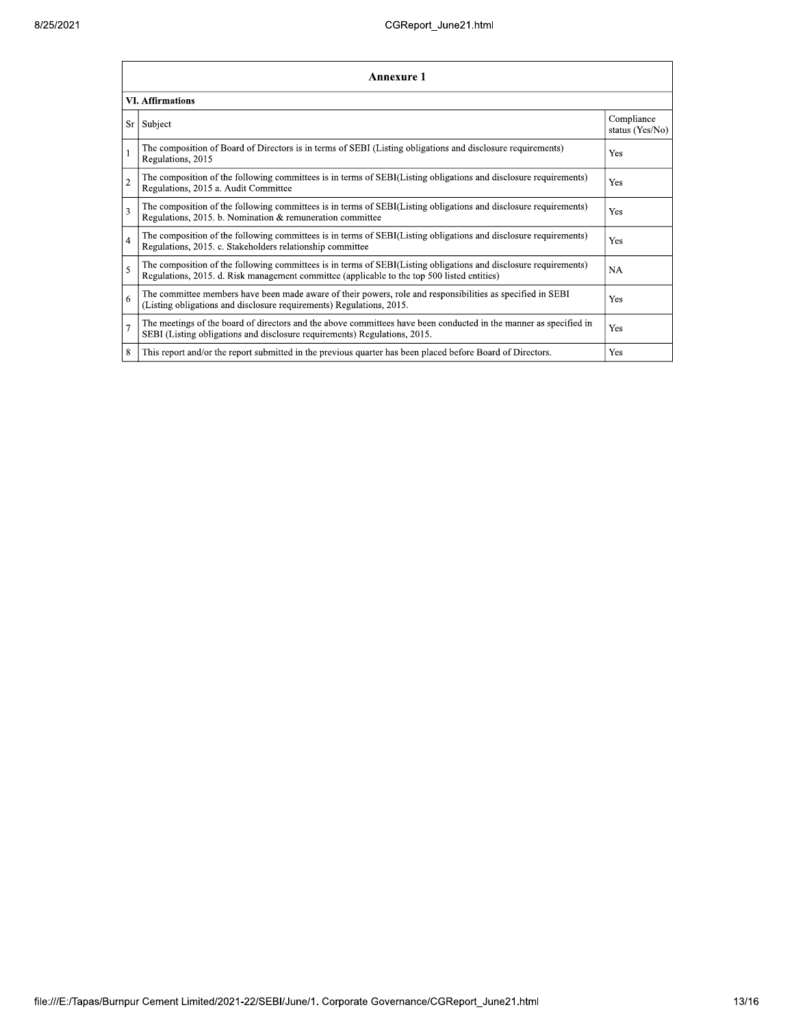|                         | <b>Annexure 1</b>                                                                                                                                                                                               |                               |  |  |  |  |
|-------------------------|-----------------------------------------------------------------------------------------------------------------------------------------------------------------------------------------------------------------|-------------------------------|--|--|--|--|
| <b>VI. Affirmations</b> |                                                                                                                                                                                                                 |                               |  |  |  |  |
| Sr                      | Subject                                                                                                                                                                                                         | Compliance<br>status (Yes/No) |  |  |  |  |
|                         | The composition of Board of Directors is in terms of SEBI (Listing obligations and disclosure requirements)<br>Regulations, 2015                                                                                | Yes                           |  |  |  |  |
| $\overline{c}$          | The composition of the following committees is in terms of SEBI(Listing obligations and disclosure requirements)<br>Regulations, 2015 a. Audit Committee                                                        | Yes                           |  |  |  |  |
| 3                       | The composition of the following committees is in terms of SEBI(Listing obligations and disclosure requirements)<br>Regulations, 2015. b. Nomination & remuneration committee                                   | Yes                           |  |  |  |  |
| $\overline{4}$          | The composition of the following committees is in terms of SEBI(Listing obligations and disclosure requirements)<br>Regulations, 2015. c. Stakeholders relationship committee                                   | Yes                           |  |  |  |  |
| 5                       | The composition of the following committees is in terms of SEBI(Listing obligations and disclosure requirements)<br>Regulations, 2015. d. Risk management committee (applicable to the top 500 listed entities) | <b>NA</b>                     |  |  |  |  |
| 6                       | The committee members have been made aware of their powers, role and responsibilities as specified in SEBI<br>(Listing obligations and disclosure requirements) Regulations, 2015.                              | Yes                           |  |  |  |  |
| $\overline{7}$          | The meetings of the board of directors and the above committees have been conducted in the manner as specified in<br>SEBI (Listing obligations and disclosure requirements) Regulations, 2015.                  | Yes                           |  |  |  |  |
| 8                       | This report and/or the report submitted in the previous quarter has been placed before Board of Directors.                                                                                                      | Yes                           |  |  |  |  |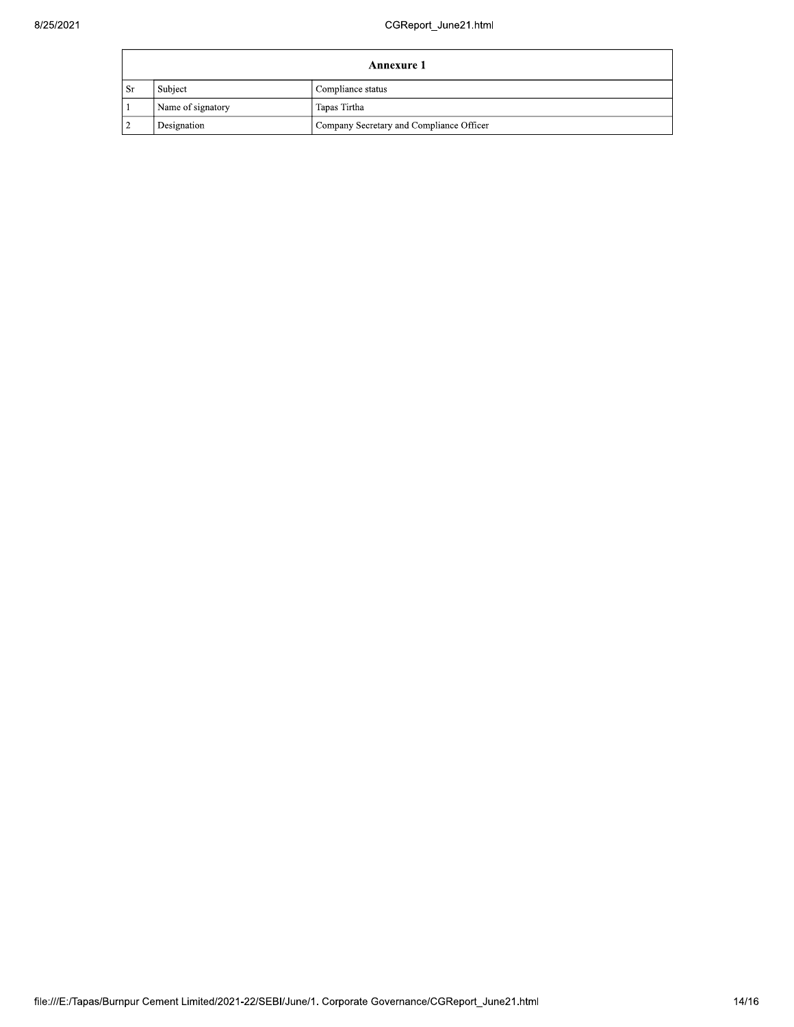| Annexure 1 |                   |                                          |  |  |
|------------|-------------------|------------------------------------------|--|--|
| . Sr       | Subject           | Compliance status                        |  |  |
|            | Name of signatory | Tapas Tirtha                             |  |  |
|            | Designation       | Company Secretary and Compliance Officer |  |  |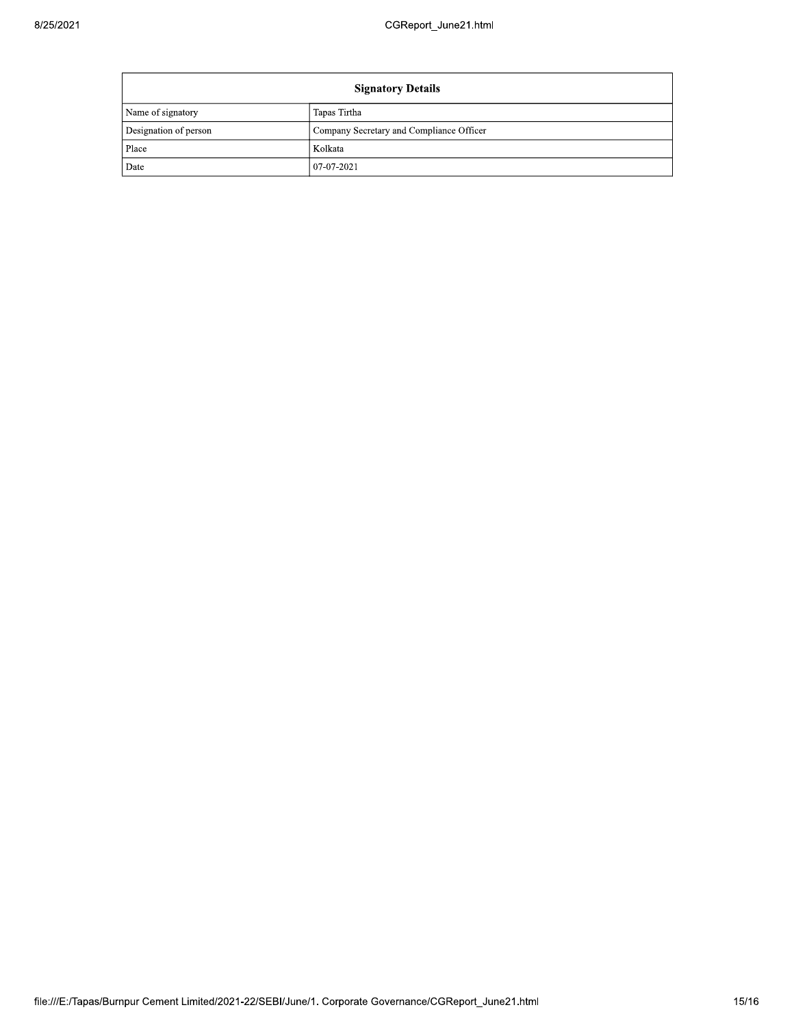| <b>Signatory Details</b> |                                          |  |
|--------------------------|------------------------------------------|--|
| Name of signatory        | Tapas Tirtha                             |  |
| Designation of person    | Company Secretary and Compliance Officer |  |
| Place                    | Kolkata                                  |  |
| Date                     | $07-07-2021$                             |  |